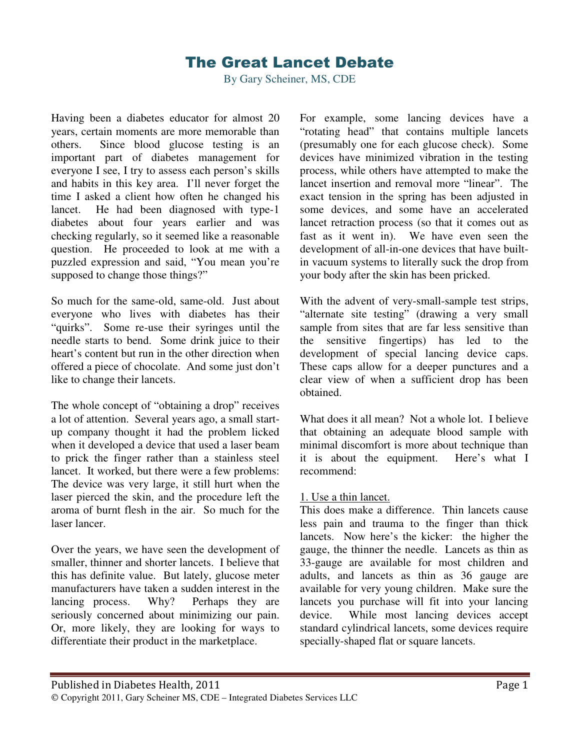# The Great Lancet Debate

By Gary Scheiner, MS, CDE

Having been a diabetes educator for almost 20 years, certain moments are more memorable than others. Since blood glucose testing is an important part of diabetes management for everyone I see, I try to assess each person's skills and habits in this key area. I'll never forget the time I asked a client how often he changed his lancet. He had been diagnosed with type-1 diabetes about four years earlier and was checking regularly, so it seemed like a reasonable question. He proceeded to look at me with a puzzled expression and said, "You mean you're supposed to change those things?"

So much for the same-old, same-old. Just about everyone who lives with diabetes has their "quirks". Some re-use their syringes until the needle starts to bend. Some drink juice to their heart's content but run in the other direction when offered a piece of chocolate. And some just don't like to change their lancets.

The whole concept of "obtaining a drop" receives a lot of attention. Several years ago, a small startup company thought it had the problem licked when it developed a device that used a laser beam to prick the finger rather than a stainless steel lancet. It worked, but there were a few problems: The device was very large, it still hurt when the laser pierced the skin, and the procedure left the aroma of burnt flesh in the air. So much for the laser lancer.

Over the years, we have seen the development of smaller, thinner and shorter lancets. I believe that this has definite value. But lately, glucose meter manufacturers have taken a sudden interest in the lancing process. Why? Perhaps they are seriously concerned about minimizing our pain. Or, more likely, they are looking for ways to differentiate their product in the marketplace.

For example, some lancing devices have a "rotating head" that contains multiple lancets (presumably one for each glucose check). Some devices have minimized vibration in the testing process, while others have attempted to make the lancet insertion and removal more "linear". The exact tension in the spring has been adjusted in some devices, and some have an accelerated lancet retraction process (so that it comes out as fast as it went in). We have even seen the development of all-in-one devices that have builtin vacuum systems to literally suck the drop from your body after the skin has been pricked.

With the advent of very-small-sample test strips, "alternate site testing" (drawing a very small sample from sites that are far less sensitive than the sensitive fingertips) has led to the development of special lancing device caps. These caps allow for a deeper punctures and a clear view of when a sufficient drop has been obtained.

What does it all mean? Not a whole lot. I believe that obtaining an adequate blood sample with minimal discomfort is more about technique than it is about the equipment. Here's what I recommend:

#### 1. Use a thin lancet.

This does make a difference. Thin lancets cause less pain and trauma to the finger than thick lancets. Now here's the kicker: the higher the gauge, the thinner the needle. Lancets as thin as 33-gauge are available for most children and adults, and lancets as thin as 36 gauge are available for very young children. Make sure the lancets you purchase will fit into your lancing device. While most lancing devices accept standard cylindrical lancets, some devices require specially-shaped flat or square lancets.